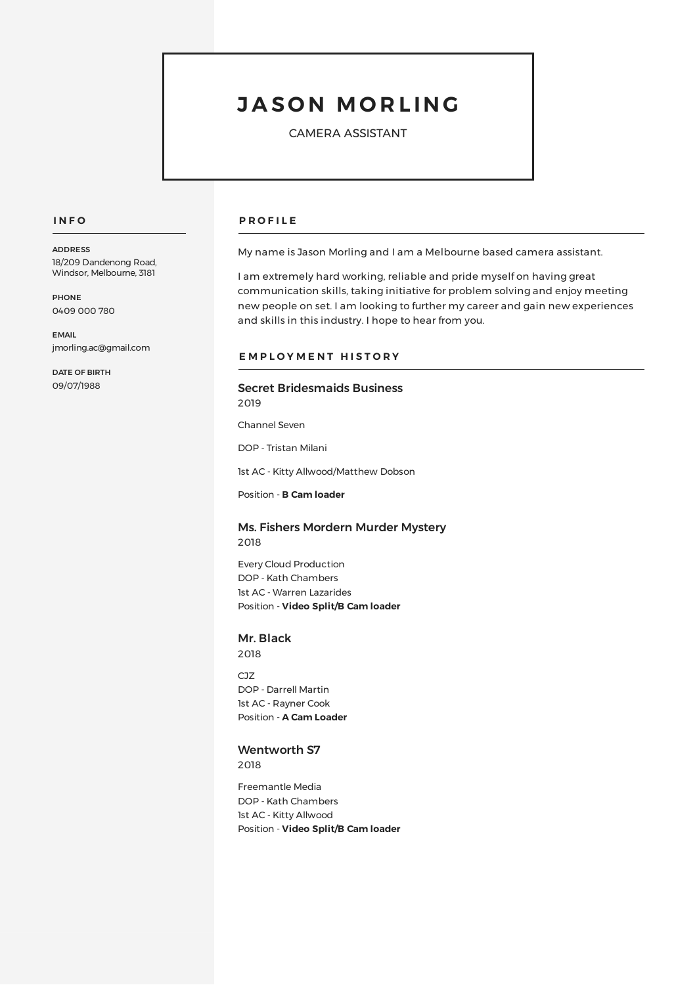# **J A S O N MO R L ING**

CAMERA ASSISTANT

#### **I N F O**

ADDRESS 18/209 Dandenong Road, Windsor, Melbourne, 3181

**PHONE** 0409 000 780

EMAIL jmorling.ac@gmail.com

DATE OF BIRTH 09/07/1988

#### **P R O F I L E**

My name is Jason Morling and I am a Melbourne based camera assistant.

I am extremely hard working, reliable and pride myself on having great communication skills, taking initiative for problem solving and enjoy meeting new people on set. I am looking to further my career and gain new experiences and skills in this industry. I hope to hear from you.

#### **E M P L O Y M E N T H I S T O R Y**

# Secret Bridesmaids Business

2019

Channel Seven

DOP - Tristan Milani

1st AC - Kitty Allwood/Matthew Dobson

Position - **B Cam loader**

# Ms. Fishers Mordern Murder Mystery 2018

Every Cloud Production DOP - Kath Chambers 1st AC - Warren Lazarides Position - **Video Split/B Cam loader**

# Mr. Black

2018

 $C17$ DOP - Darrell Martin 1st AC - Rayner Cook Position - **A Cam Loader**

# Wentworth S7

2018

Freemantle Media DOP - Kath Chambers 1st AC - Kitty Allwood Position - **Video Split/B Cam loader**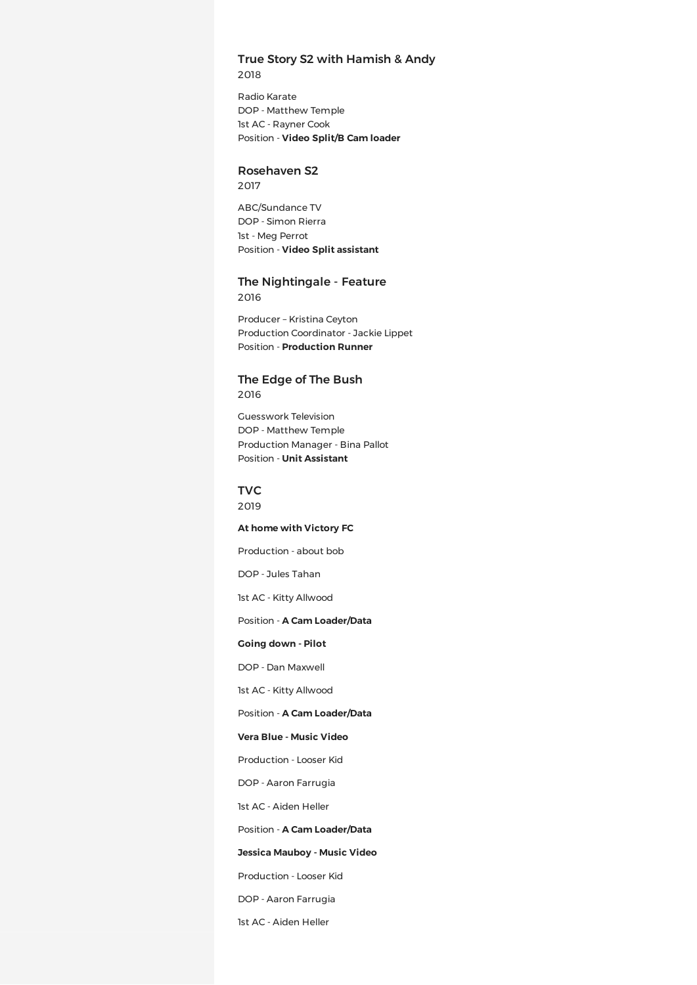# True Story S2 with Hamish & Andy 2018

Radio Karate DOP - Matthew Temple 1st AC - Rayner Cook Position - **Video Split/B Cam loader**

#### Rosehaven S2

2017

ABC/Sundance TV DOP - Simon Rierra 1st - Meg Perrot Position - **Video Split assistant**

The Nightingale - Feature 2016

Producer – Kristina Ceyton Production Coordinator - Jackie Lippet Position - **Production Runner**

# The Edge of The Bush

2016

Guesswork Television DOP - Matthew Temple Production Manager - Bina Pallot Position - **Unit Assistant**

TVC 2019

#### **At home with Victory FC**

Production - about bob

DOP - Jules Tahan

1st AC - Kitty Allwood

# Position - **A Cam Loader/Data**

#### **Going down - Pilot**

DOP - Dan Maxwell

1st AC - Kitty Allwood

Position - **A Cam Loader/Data**

# **Vera Blue - Music Video**

Production - Looser Kid

DOP - Aaron Farrugia

1st AC - Aiden Heller

#### Position - **A Cam Loader/Data**

#### **Jessica Mauboy - Music Video**

Production - Looser Kid

DOP - Aaron Farrugia

1st AC - Aiden Heller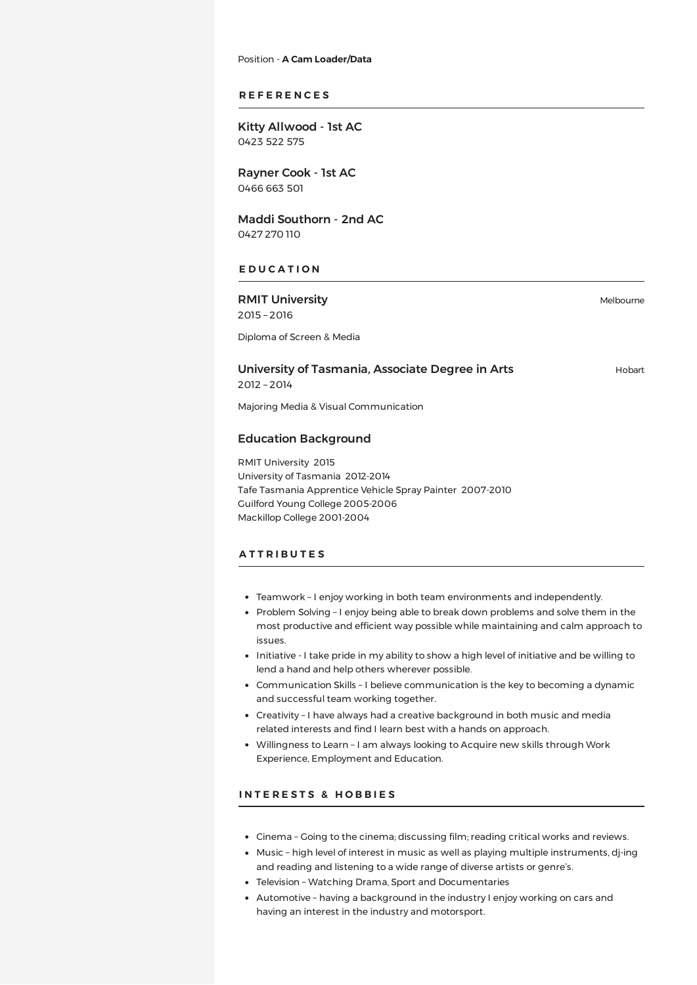Position - **A Cam Loader/Data**

# **R E F E R E N C E S**

Kitty Allwood - 1st AC 0423 522 575

Rayner Cook - 1st AC 0466 663 501

Maddi Southorn - 2nd AC 0427 270 110

# **E D U C A T I O N**

RMIT University 2015 – 2016

Melbourne

Diploma of Screen & Media

University of Tasmania, Associate Degree in Arts 2012 – 2014

Hobart

Majoring Media & Visual Communication

#### Education Background

RMIT University 2015 University of Tasmania 2012-2014 Tafe Tasmania Apprentice Vehicle Spray Painter 2007-2010 Guilford Young College 2005-2006 Mackillop College 2001-2004

#### **A T T R I B U T E S**

- Teamwork I enjoy working in both team environments and independently.
- Problem Solving I enjoy being able to break down problems and solve them in the most productive and efficient way possible while maintaining and calm approach to issues.
- Initiative I take pride in my ability to show a high level of initiative and be willing to lend a hand and help others wherever possible.
- Communication Skills I believe communication is the key to becoming a dynamic and successful team working together.
- Creativity I have always had a creative background in both music and media related interests and find I learn best with a hands on approach.
- Willingness to Learn I am always looking to Acquire new skills through Work Experience, Employment and Education.

# **I N T E R E S T S & H O B B I E S**

- Cinema Going to the cinema; discussing film; reading critical works and reviews.
- Music high level of interest in music as well as playing multiple instruments, dj-ing and reading and listening to a wide range of diverse artists or genre's.
- Television Watching Drama, Sport and Documentaries
- Automotive having a background in the industry I enjoy working on cars and having an interest in the industry and motorsport.